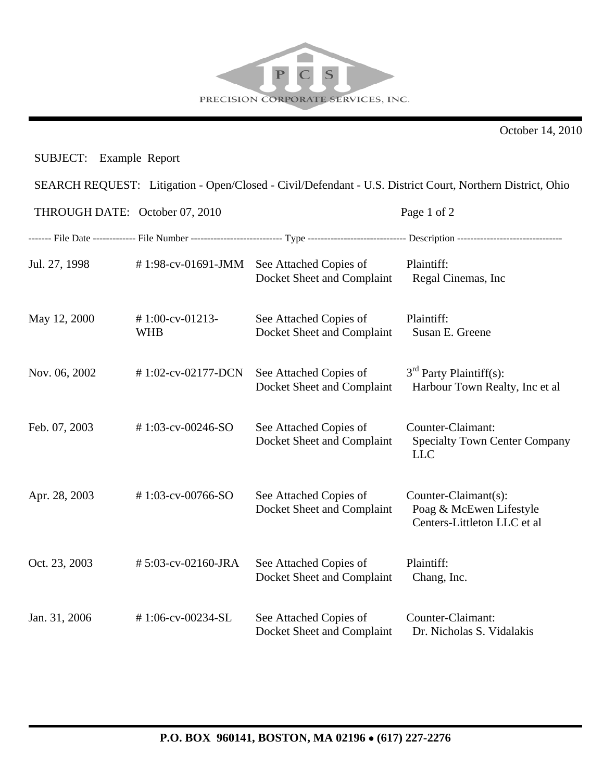

| SUBJECT: Example Report                                                                                   |                               |                                                                         |                                                                                |  |  |
|-----------------------------------------------------------------------------------------------------------|-------------------------------|-------------------------------------------------------------------------|--------------------------------------------------------------------------------|--|--|
| SEARCH REQUEST: Litigation - Open/Closed - Civil/Defendant - U.S. District Court, Northern District, Ohio |                               |                                                                         |                                                                                |  |  |
| THROUGH DATE: October 07, 2010                                                                            |                               |                                                                         | Page 1 of 2                                                                    |  |  |
|                                                                                                           |                               |                                                                         |                                                                                |  |  |
| Jul. 27, 1998                                                                                             |                               | #1:98-cv-01691-JMM See Attached Copies of<br>Docket Sheet and Complaint | Plaintiff:<br>Regal Cinemas, Inc                                               |  |  |
| May 12, 2000                                                                                              | #1:00-cv-01213-<br><b>WHB</b> | See Attached Copies of<br>Docket Sheet and Complaint                    | Plaintiff:<br>Susan E. Greene                                                  |  |  |
| Nov. 06, 2002                                                                                             | #1:02-cv-02177-DCN            | See Attached Copies of<br>Docket Sheet and Complaint                    | $3rd$ Party Plaintiff(s):<br>Harbour Town Realty, Inc et al                    |  |  |
| Feb. 07, 2003                                                                                             | #1:03-cv-00246-SO             | See Attached Copies of<br>Docket Sheet and Complaint                    | Counter-Claimant:<br><b>Specialty Town Center Company</b><br><b>LLC</b>        |  |  |
| Apr. 28, 2003                                                                                             | #1:03-cv-00766-SO             | See Attached Copies of<br>Docket Sheet and Complaint                    | Counter-Claimant(s):<br>Poag & McEwen Lifestyle<br>Centers-Littleton LLC et al |  |  |
| Oct. 23, 2003                                                                                             | #5:03-cv-02160-JRA            | See Attached Copies of<br>Docket Sheet and Complaint                    | Plaintiff:<br>Chang, Inc.                                                      |  |  |
| Jan. 31, 2006                                                                                             | # 1:06-cv-00234-SL            | See Attached Copies of<br>Docket Sheet and Complaint                    | Counter-Claimant:<br>Dr. Nicholas S. Vidalakis                                 |  |  |